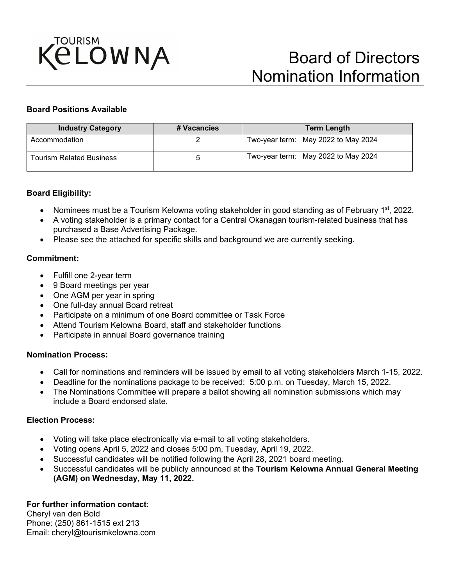

## **Board Positions Available**

| <b>Industry Category</b>        | # Vacancies | <b>Term Length</b>                  |
|---------------------------------|-------------|-------------------------------------|
| Accommodation                   |             | Two-year term: May 2022 to May 2024 |
| <b>Tourism Related Business</b> |             | Two-year term: May 2022 to May 2024 |

#### **Board Eligibility:**

- Nominees must be a Tourism Kelowna voting stakeholder in good standing as of February 1<sup>st</sup>, 2022.
- A voting stakeholder is a primary contact for a Central Okanagan tourism-related business that has purchased a Base Advertising Package.
- Please see the attached for specific skills and background we are currently seeking.

## **Commitment:**

- Fulfill one 2-year term
- 9 Board meetings per year
- One AGM per year in spring
- One full-day annual Board retreat
- Participate on a minimum of one Board committee or Task Force
- Attend Tourism Kelowna Board, staff and stakeholder functions
- Participate in annual Board governance training

#### **Nomination Process:**

- Call for nominations and reminders will be issued by email to all voting stakeholders March 1-15, 2022.
- Deadline for the nominations package to be received: 5:00 p.m. on Tuesday, March 15, 2022.
- The Nominations Committee will prepare a ballot showing all nomination submissions which may include a Board endorsed slate.

#### **Election Process:**

- Voting will take place electronically via e-mail to all voting stakeholders.
- Voting opens April 5, 2022 and closes 5:00 pm, Tuesday, April 19, 2022.
- Successful candidates will be notified following the April 28, 2021 board meeting.
- Successful candidates will be publicly announced at the **Tourism Kelowna Annual General Meeting (AGM) on Wednesday, May 11, 2022.**

## **For further information contact**:

Cheryl van den Bold Phone: [\(250\) 861-1515](mailto:cheryl@tourismkelowna.com) ext 213 Email: [cheryl@tourismkelowna.com](mailto:cheryl@tourismkelowna.com)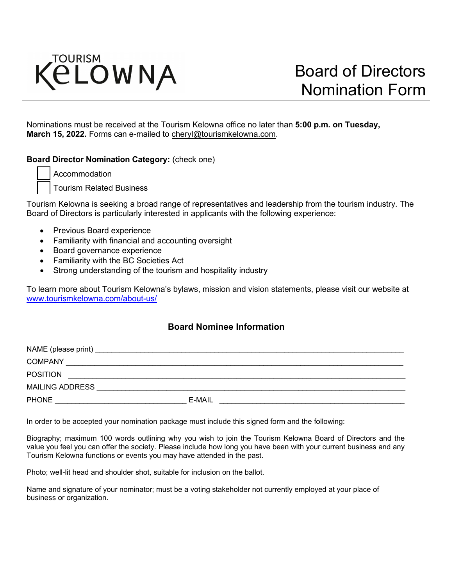

Nominations must be received at the Tourism Kelowna office no later than **5:00 p.m. on Tuesday, March 15, 2022.** Forms can e-mailed [to cheryl@tourismkelowna.com.](mailto:cheryl@tourismkelowna.com)

## **Board Director Nomination Category:** (check one)

Accommodation

Tourism Related Business

Tourism Kelowna is seeking a broad range of representatives and leadership from the tourism industry. The Board of Directors is particularly interested in applicants with the following experience:

- Previous Board experience
- Familiarity with financial and accounting oversight
- Board governance experience
- Familiarity with the BC Societies Act
- Strong understanding of the tourism and hospitality industry

To learn more about Tourism Kelowna's bylaws, mission and vision statements, please visit our website at [www.tourismkelowna.com/about-us/](http://www.tourismkelowna.com/about-us/)

# **Board Nominee Information**

| NAME (please print)    |        |
|------------------------|--------|
| <b>COMPANY</b>         |        |
| <b>POSITION</b>        |        |
| <b>MAILING ADDRESS</b> |        |
| <b>PHONE</b>           | E-MAIL |

In order to be accepted your nomination package must include this signed form and the following:

Biography; maximum 100 words outlining why you wish to join the Tourism Kelowna Board of Directors and the value you feel you can offer the society. Please include how long you have been with your current business and any Tourism Kelowna functions or events you may have attended in the past.

Photo; well-lit head and shoulder shot, suitable for inclusion on the ballot.

Name and signature of your nominator; must be a voting stakeholder not currently employed at your place of business or organization.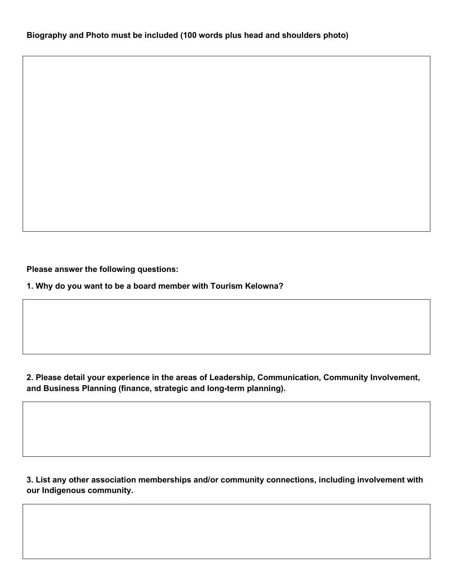**Please answer the following questions:**

**1. Why do you want to be a board member with Tourism Kelowna?**

**2. Please detail your experience in the areas of Leadership, Communication, Community Involvement, and Business Planning (finance, strategic and long-term planning).**

**3. List any other association memberships and/or community connections, including involvement with our Indigenous community.**